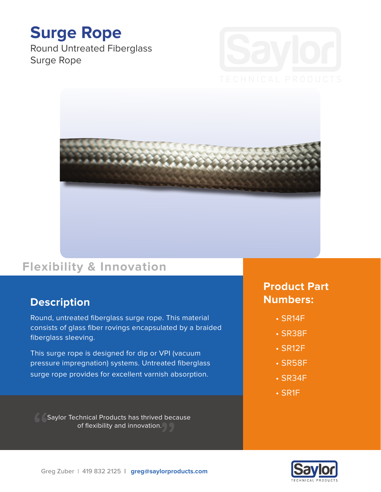# **Surge Rope**

Round Untreated Fiberglass Surge Rope





## **Flexibility & Innovation**

#### **Description**

Round, untreated fiberglass surge rope. This material consists of glass fiber rovings encapsulated by a braided fiberglass sleeving.

This surge rope is designed for dip or VPI (vacuum pressure impregnation) systems. Untreated fiberglass surge rope provides for excellent varnish absorption.

Saylor Technical Products has thrived because of flexibility and innovation.

### **Product Part Numbers:**

- SR14F
- SR38F
- SR12F
- SR58F
- SR34F
- SR1F